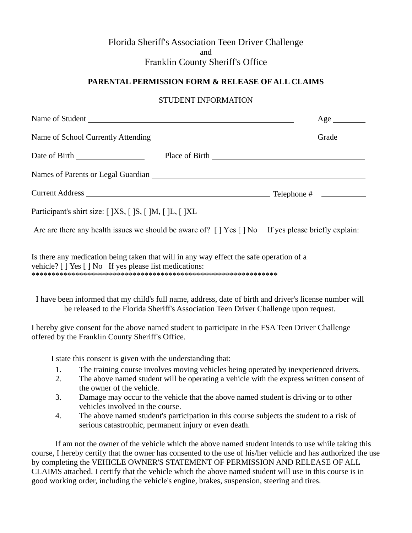# Florida Sheriff's Association Teen Driver Challenge and Franklin County Sheriff's Office

## **PARENTAL PERMISSION FORM & RELEASE OF ALL CLAIMS**

### STUDENT INFORMATION

|                                                                                                                                                    | Age   |
|----------------------------------------------------------------------------------------------------------------------------------------------------|-------|
| Name of School Currently Attending<br><u>Letter and the contract of School Currently Attending</u>                                                 | Grade |
|                                                                                                                                                    |       |
|                                                                                                                                                    |       |
|                                                                                                                                                    |       |
| Participant's shirt size: [ ]XS, [ ]S, [ ]M, [ ]L, [ ]XL                                                                                           |       |
| Are are there any health issues we should be aware of? [] Yes [] No If yes please briefly explain:                                                 |       |
| Is there any medication being taken that will in any way effect the safe operation of a<br>vehicle? [ ] Yes [ ] No If yes please list medications: |       |

I have been informed that my child's full name, address, date of birth and driver's license number will be released to the Florida Sheriff's Association Teen Driver Challenge upon request.

I hereby give consent for the above named student to participate in the FSA Teen Driver Challenge offered by the Franklin County Sheriff's Office.

I state this consent is given with the understanding that:

- 1. The training course involves moving vehicles being operated by inexperienced drivers.
- 2. The above named student will be operating a vehicle with the express written consent of the owner of the vehicle.
- 3. Damage may occur to the vehicle that the above named student is driving or to other vehicles involved in the course.
- 4. The above named student's participation in this course subjects the student to a risk of serious catastrophic, permanent injury or even death.

If am not the owner of the vehicle which the above named student intends to use while taking this course, I hereby certify that the owner has consented to the use of his/her vehicle and has authorized the use by completing the VEHICLE OWNER'S STATEMENT OF PERMISSION AND RELEASE OF ALL CLAIMS attached. I certify that the vehicle which the above named student will use in this course is in good working order, including the vehicle's engine, brakes, suspension, steering and tires.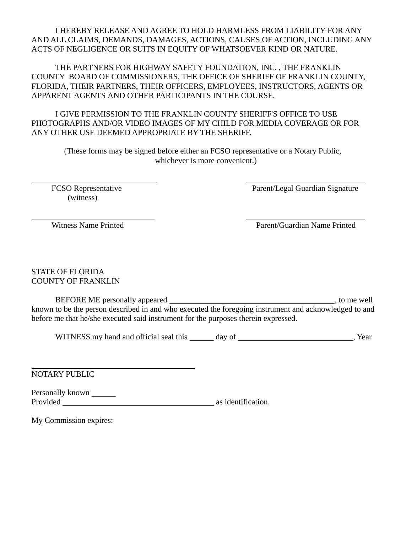I HEREBY RELEASE AND AGREE TO HOLD HARMLESS FROM LIABILITY FOR ANY AND ALL CLAIMS, DEMANDS, DAMAGES, ACTIONS, CAUSES OF ACTION, INCLUDING ANY ACTS OF NEGLIGENCE OR SUITS IN EQUITY OF WHATSOEVER KIND OR NATURE.

THE PARTNERS FOR HIGHWAY SAFETY FOUNDATION, INC. , THE FRANKLIN COUNTY BOARD OF COMMISSIONERS, THE OFFICE OF SHERIFF OF FRANKLIN COUNTY, FLORIDA, THEIR PARTNERS, THEIR OFFICERS, EMPLOYEES, INSTRUCTORS, AGENTS OR APPARENT AGENTS AND OTHER PARTICIPANTS IN THE COURSE.

I GIVE PERMISSION TO THE FRANKLIN COUNTY SHERIFF'S OFFICE TO USE PHOTOGRAPHS AND/OR VIDEO IMAGES OF MY CHILD FOR MEDIA COVERAGE OR FOR ANY OTHER USE DEEMED APPROPRIATE BY THE SHERIFF.

(These forms may be signed before either an FCSO representative or a Notary Public, whichever is more convenient.)

(witness)

FCSO Representative Parent/Legal Guardian Signature

Witness Name Printed Parent/Guardian Name Printed

STATE OF FLORIDA COUNTY OF FRANKLIN

BEFORE ME personally appeared , to me well known to be the person described in and who executed the foregoing instrument and acknowledged to and before me that he/she executed said instrument for the purposes therein expressed.

WITNESS my hand and official seal this day of , Year

NOTARY PUBLIC

Personally known \_\_\_\_\_\_\_\_ Provided as identification.

My Commission expires: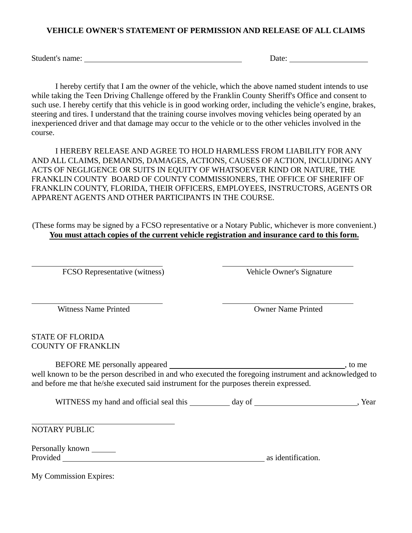#### **VEHICLE OWNER'S STATEMENT OF PERMISSION AND RELEASE OF ALL CLAIMS**

Student's name: <u>Date:</u> Date: Date: Date: Date: Date: Date: Date: Date: Date: Date: Date: Date: Date: Date: Date: Date: Date: Date: Date: Date: Date: Date: Date: Date: Date: Date: Date: Date: Date: Date: Date: Date: Date:

I hereby certify that I am the owner of the vehicle, which the above named student intends to use while taking the Teen Driving Challenge offered by the Franklin County Sheriff's Office and consent to such use. I hereby certify that this vehicle is in good working order, including the vehicle's engine, brakes, steering and tires. I understand that the training course involves moving vehicles being operated by an inexperienced driver and that damage may occur to the vehicle or to the other vehicles involved in the course.

I HEREBY RELEASE AND AGREE TO HOLD HARMLESS FROM LIABILITY FOR ANY AND ALL CLAIMS, DEMANDS, DAMAGES, ACTIONS, CAUSES OF ACTION, INCLUDING ANY ACTS OF NEGLIGENCE OR SUITS IN EQUITY OF WHATSOEVER KIND OR NATURE, THE FRANKLIN COUNTY BOARD OF COUNTY COMMISSIONERS, THE OFFICE OF SHERIFF OF FRANKLIN COUNTY, FLORIDA, THEIR OFFICERS, EMPLOYEES, INSTRUCTORS, AGENTS OR APPARENT AGENTS AND OTHER PARTICIPANTS IN THE COURSE.

(These forms may be signed by a FCSO representative or a Notary Public, whichever is more convenient.) **You must attach copies of the current vehicle registration and insurance card to this form.** 

FCSO Representative (witness) Vehicle Owner's Signature

Witness Name Printed **Owner Name Printed** 

STATE OF FLORIDA COUNTY OF FRANKLIN

BEFORE ME personally appeared , to me well known to be the person described in and who executed the foregoing instrument and acknowledged to and before me that he/she executed said instrument for the purposes therein expressed.

WITNESS my hand and official seal this \_\_\_\_\_\_\_\_ day of \_\_\_\_\_\_\_\_\_\_\_\_\_\_\_\_\_\_\_\_\_\_\_\_\_, Year

NOTARY PUBLIC

| Personally known |                    |
|------------------|--------------------|
| Provided         | as identification. |

My Commission Expires: